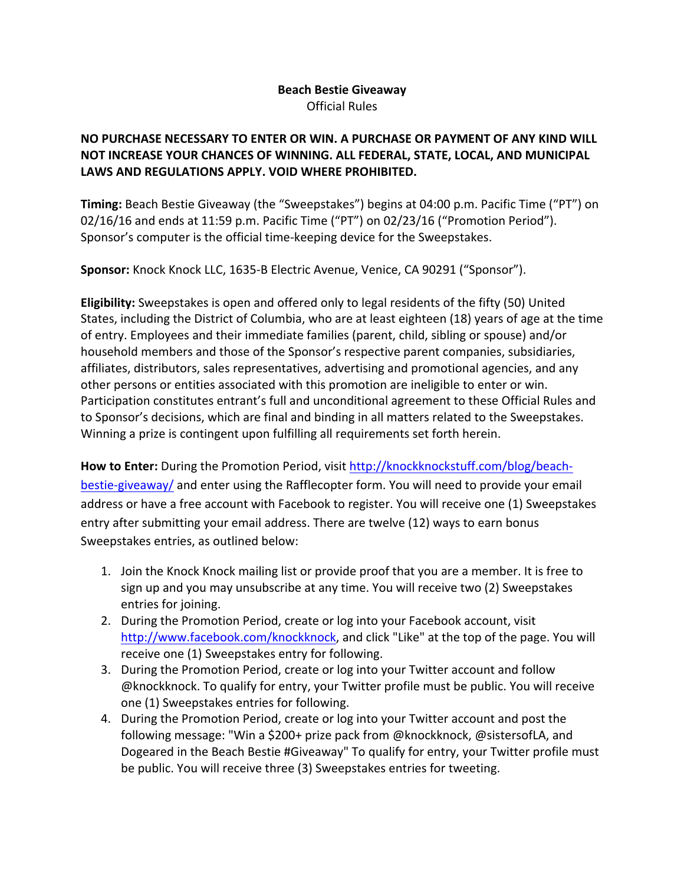## **Beach Bestie Giveaway** Official Rules

## **NO PURCHASE NECESSARY TO ENTER OR WIN. A PURCHASE OR PAYMENT OF ANY KIND WILL NOT INCREASE YOUR CHANCES OF WINNING. ALL FEDERAL, STATE, LOCAL, AND MUNICIPAL** LAWS AND REGULATIONS APPLY. VOID WHERE PROHIBITED.

**Timing:** Beach Bestie Giveaway (the "Sweepstakes") begins at 04:00 p.m. Pacific Time ("PT") on  $02/16/16$  and ends at 11:59 p.m. Pacific Time ("PT") on  $02/23/16$  ("Promotion Period"). Sponsor's computer is the official time-keeping device for the Sweepstakes.

Sponsor: Knock Knock LLC, 1635-B Electric Avenue, Venice, CA 90291 ("Sponsor").

**Eligibility:** Sweepstakes is open and offered only to legal residents of the fifty (50) United States, including the District of Columbia, who are at least eighteen (18) years of age at the time of entry. Employees and their immediate families (parent, child, sibling or spouse) and/or household members and those of the Sponsor's respective parent companies, subsidiaries, affiliates, distributors, sales representatives, advertising and promotional agencies, and any other persons or entities associated with this promotion are ineligible to enter or win. Participation constitutes entrant's full and unconditional agreement to these Official Rules and to Sponsor's decisions, which are final and binding in all matters related to the Sweepstakes. Winning a prize is contingent upon fulfilling all requirements set forth herein.

How to Enter: During the Promotion Period, visit http://knockknockstuff.com/blog/beachbestie-giveaway/ and enter using the Rafflecopter form. You will need to provide your email address or have a free account with Facebook to register. You will receive one (1) Sweepstakes entry after submitting your email address. There are twelve (12) ways to earn bonus Sweepstakes entries, as outlined below:

- 1. Join the Knock Knock mailing list or provide proof that you are a member. It is free to sign up and you may unsubscribe at any time. You will receive two (2) Sweepstakes entries for joining.
- 2. During the Promotion Period, create or log into your Facebook account, visit http://www.facebook.com/knockknock, and click "Like" at the top of the page. You will receive one (1) Sweepstakes entry for following.
- 3. During the Promotion Period, create or log into your Twitter account and follow @knockknock. To qualify for entry, your Twitter profile must be public. You will receive one (1) Sweepstakes entries for following.
- 4. During the Promotion Period, create or log into your Twitter account and post the following message: "Win a \$200+ prize pack from @knockknock, @sistersofLA, and Dogeared in the Beach Bestie #Giveaway" To qualify for entry, your Twitter profile must be public. You will receive three (3) Sweepstakes entries for tweeting.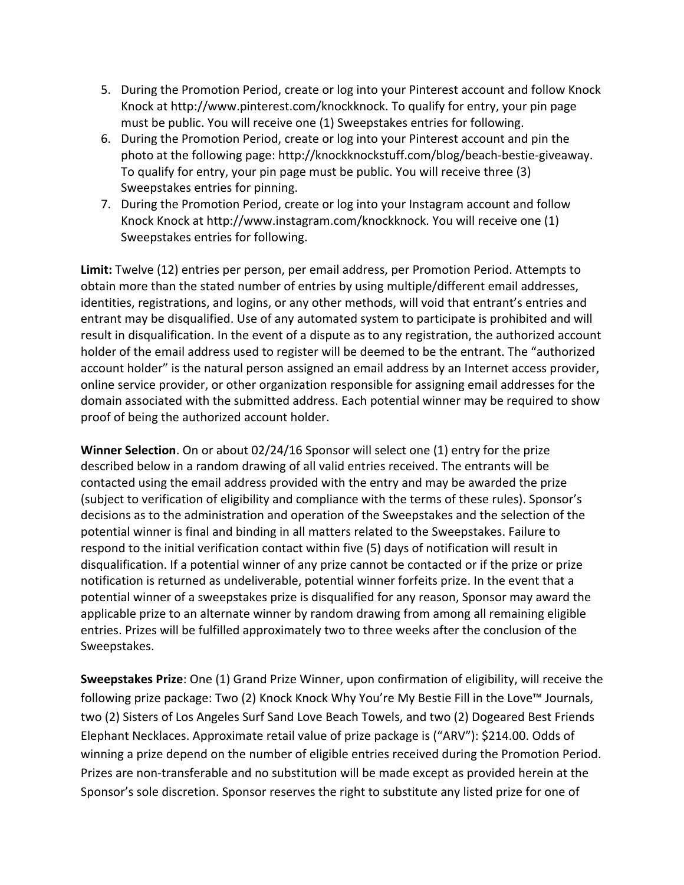- 5. During the Promotion Period, create or log into your Pinterest account and follow Knock Knock at http://www.pinterest.com/knockknock. To qualify for entry, your pin page must be public. You will receive one (1) Sweepstakes entries for following.
- 6. During the Promotion Period, create or log into your Pinterest account and pin the photo at the following page: http://knockknockstuff.com/blog/beach-bestie-giveaway. To qualify for entry, your pin page must be public. You will receive three (3) Sweepstakes entries for pinning.
- 7. During the Promotion Period, create or log into your Instagram account and follow Knock Knock at http://www.instagram.com/knockknock. You will receive one (1) Sweepstakes entries for following.

Limit: Twelve (12) entries per person, per email address, per Promotion Period. Attempts to obtain more than the stated number of entries by using multiple/different email addresses, identities, registrations, and logins, or any other methods, will void that entrant's entries and entrant may be disqualified. Use of any automated system to participate is prohibited and will result in disqualification. In the event of a dispute as to any registration, the authorized account holder of the email address used to register will be deemed to be the entrant. The "authorized account holder" is the natural person assigned an email address by an Internet access provider, online service provider, or other organization responsible for assigning email addresses for the domain associated with the submitted address. Each potential winner may be required to show proof of being the authorized account holder.

**Winner Selection**. On or about 02/24/16 Sponsor will select one (1) entry for the prize described below in a random drawing of all valid entries received. The entrants will be contacted using the email address provided with the entry and may be awarded the prize (subject to verification of eligibility and compliance with the terms of these rules). Sponsor's decisions as to the administration and operation of the Sweepstakes and the selection of the potential winner is final and binding in all matters related to the Sweepstakes. Failure to respond to the initial verification contact within five (5) days of notification will result in disqualification. If a potential winner of any prize cannot be contacted or if the prize or prize notification is returned as undeliverable, potential winner forfeits prize. In the event that a potential winner of a sweepstakes prize is disqualified for any reason, Sponsor may award the applicable prize to an alternate winner by random drawing from among all remaining eligible entries. Prizes will be fulfilled approximately two to three weeks after the conclusion of the Sweepstakes.

**Sweepstakes Prize**: One (1) Grand Prize Winner, upon confirmation of eligibility, will receive the following prize package: Two (2) Knock Knock Why You're My Bestie Fill in the Love™ Journals, two (2) Sisters of Los Angeles Surf Sand Love Beach Towels, and two (2) Dogeared Best Friends Elephant Necklaces. Approximate retail value of prize package is ("ARV"): \$214.00. Odds of winning a prize depend on the number of eligible entries received during the Promotion Period. Prizes are non-transferable and no substitution will be made except as provided herein at the Sponsor's sole discretion. Sponsor reserves the right to substitute any listed prize for one of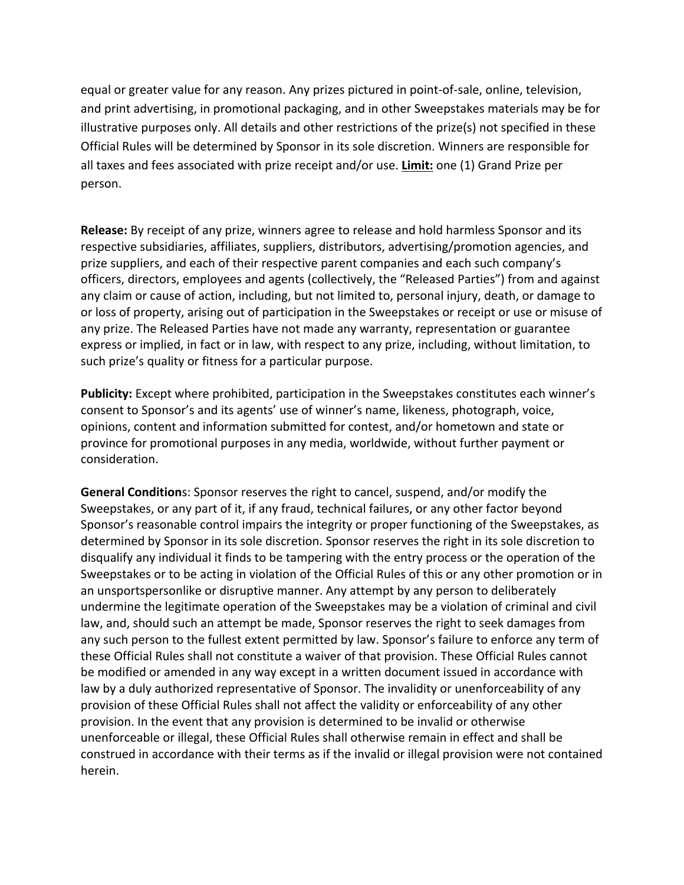equal or greater value for any reason. Any prizes pictured in point-of-sale, online, television, and print advertising, in promotional packaging, and in other Sweepstakes materials may be for illustrative purposes only. All details and other restrictions of the prize(s) not specified in these Official Rules will be determined by Sponsor in its sole discretion. Winners are responsible for all taxes and fees associated with prize receipt and/or use. Limit: one (1) Grand Prize per person. 

**Release:** By receipt of any prize, winners agree to release and hold harmless Sponsor and its respective subsidiaries, affiliates, suppliers, distributors, advertising/promotion agencies, and prize suppliers, and each of their respective parent companies and each such company's officers, directors, employees and agents (collectively, the "Released Parties") from and against any claim or cause of action, including, but not limited to, personal injury, death, or damage to or loss of property, arising out of participation in the Sweepstakes or receipt or use or misuse of any prize. The Released Parties have not made any warranty, representation or guarantee express or implied, in fact or in law, with respect to any prize, including, without limitation, to such prize's quality or fitness for a particular purpose.

**Publicity:** Except where prohibited, participation in the Sweepstakes constitutes each winner's consent to Sponsor's and its agents' use of winner's name, likeness, photograph, voice, opinions, content and information submitted for contest, and/or hometown and state or province for promotional purposes in any media, worldwide, without further payment or consideration.

**General Condition**s: Sponsor reserves the right to cancel, suspend, and/or modify the Sweepstakes, or any part of it, if any fraud, technical failures, or any other factor beyond Sponsor's reasonable control impairs the integrity or proper functioning of the Sweepstakes, as determined by Sponsor in its sole discretion. Sponsor reserves the right in its sole discretion to disqualify any individual it finds to be tampering with the entry process or the operation of the Sweepstakes or to be acting in violation of the Official Rules of this or any other promotion or in an unsportspersonlike or disruptive manner. Any attempt by any person to deliberately undermine the legitimate operation of the Sweepstakes may be a violation of criminal and civil law, and, should such an attempt be made, Sponsor reserves the right to seek damages from any such person to the fullest extent permitted by law. Sponsor's failure to enforce any term of these Official Rules shall not constitute a waiver of that provision. These Official Rules cannot be modified or amended in any way except in a written document issued in accordance with law by a duly authorized representative of Sponsor. The invalidity or unenforceability of any provision of these Official Rules shall not affect the validity or enforceability of any other provision. In the event that any provision is determined to be invalid or otherwise unenforceable or illegal, these Official Rules shall otherwise remain in effect and shall be construed in accordance with their terms as if the invalid or illegal provision were not contained herein.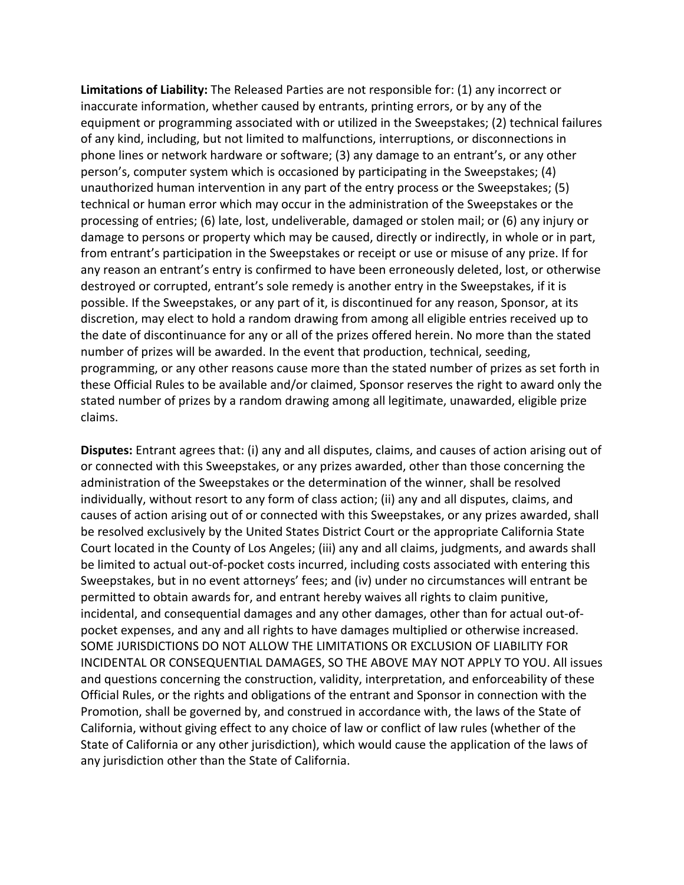Limitations of Liability: The Released Parties are not responsible for: (1) any incorrect or inaccurate information, whether caused by entrants, printing errors, or by any of the equipment or programming associated with or utilized in the Sweepstakes; (2) technical failures of any kind, including, but not limited to malfunctions, interruptions, or disconnections in phone lines or network hardware or software; (3) any damage to an entrant's, or any other person's, computer system which is occasioned by participating in the Sweepstakes; (4) unauthorized human intervention in any part of the entry process or the Sweepstakes;  $(5)$ technical or human error which may occur in the administration of the Sweepstakes or the processing of entries; (6) late, lost, undeliverable, damaged or stolen mail; or (6) any injury or damage to persons or property which may be caused, directly or indirectly, in whole or in part, from entrant's participation in the Sweepstakes or receipt or use or misuse of any prize. If for any reason an entrant's entry is confirmed to have been erroneously deleted, lost, or otherwise destroyed or corrupted, entrant's sole remedy is another entry in the Sweepstakes, if it is possible. If the Sweepstakes, or any part of it, is discontinued for any reason, Sponsor, at its discretion, may elect to hold a random drawing from among all eligible entries received up to the date of discontinuance for any or all of the prizes offered herein. No more than the stated number of prizes will be awarded. In the event that production, technical, seeding, programming, or any other reasons cause more than the stated number of prizes as set forth in these Official Rules to be available and/or claimed, Sponsor reserves the right to award only the stated number of prizes by a random drawing among all legitimate, unawarded, eligible prize claims.

**Disputes:** Entrant agrees that: (i) any and all disputes, claims, and causes of action arising out of or connected with this Sweepstakes, or any prizes awarded, other than those concerning the administration of the Sweepstakes or the determination of the winner, shall be resolved individually, without resort to any form of class action; (ii) any and all disputes, claims, and causes of action arising out of or connected with this Sweepstakes, or any prizes awarded, shall be resolved exclusively by the United States District Court or the appropriate California State Court located in the County of Los Angeles; (iii) any and all claims, judgments, and awards shall be limited to actual out-of-pocket costs incurred, including costs associated with entering this Sweepstakes, but in no event attorneys' fees; and (iv) under no circumstances will entrant be permitted to obtain awards for, and entrant hereby waives all rights to claim punitive, incidental, and consequential damages and any other damages, other than for actual out-ofpocket expenses, and any and all rights to have damages multiplied or otherwise increased. SOME JURISDICTIONS DO NOT ALLOW THE LIMITATIONS OR EXCLUSION OF LIABILITY FOR INCIDENTAL OR CONSEQUENTIAL DAMAGES, SO THE ABOVE MAY NOT APPLY TO YOU. All issues and questions concerning the construction, validity, interpretation, and enforceability of these Official Rules, or the rights and obligations of the entrant and Sponsor in connection with the Promotion, shall be governed by, and construed in accordance with, the laws of the State of California, without giving effect to any choice of law or conflict of law rules (whether of the State of California or any other jurisdiction), which would cause the application of the laws of any jurisdiction other than the State of California.